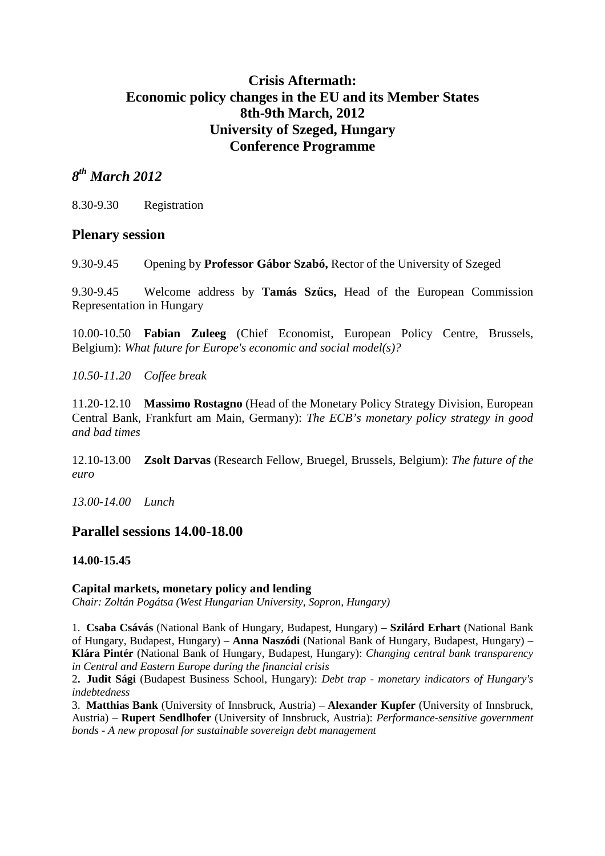# **Crisis Aftermath: Economic policy changes in the EU and its Member States 8th-9th March, 2012 University of Szeged, Hungary Conference Programme**

# *8 th March 2012*

8.30-9.30 Registration

# **Plenary session**

9.30-9.45 Opening by **Professor Gábor Szabó,** Rector of the University of Szeged

9.30-9.45 Welcome address by **Tamás Szűcs,** Head of the European Commission Representation in Hungary

10.00-10.50 **Fabian Zuleeg** (Chief Economist, European Policy Centre, Brussels, Belgium): *What future for Europe's economic and social model(s)?* 

*10.50-11.20 Coffee break* 

11.20-12.10 **Massimo Rostagno** (Head of the Monetary Policy Strategy Division, European Central Bank, Frankfurt am Main, Germany): *The ECB's monetary policy strategy in good and bad times* 

12.10-13.00 **Zsolt Darvas** (Research Fellow, Bruegel, Brussels, Belgium): *The future of the euro* 

*13.00-14.00 Lunch* 

# **Parallel sessions 14.00-18.00**

## **14.00-15.45**

### **Capital markets, monetary policy and lending**

*Chair: Zoltán Pogátsa (West Hungarian University, Sopron, Hungary)* 

1. **Csaba Csávás** (National Bank of Hungary, Budapest, Hungary) – **Szilárd Erhart** (National Bank of Hungary, Budapest, Hungary) – **Anna Naszódi** (National Bank of Hungary, Budapest, Hungary) – **Klára Pintér** (National Bank of Hungary, Budapest, Hungary): *Changing central bank transparency in Central and Eastern Europe during the financial crisis* 

2**. Judit Sági** (Budapest Business School, Hungary): *Debt trap - monetary indicators of Hungary's indebtedness* 

3. **Matthias Bank** (University of Innsbruck, Austria) – **Alexander Kupfer** (University of Innsbruck, Austria) – **Rupert Sendlhofer** (University of Innsbruck, Austria): *Performance-sensitive government bonds - A new proposal for sustainable sovereign debt management*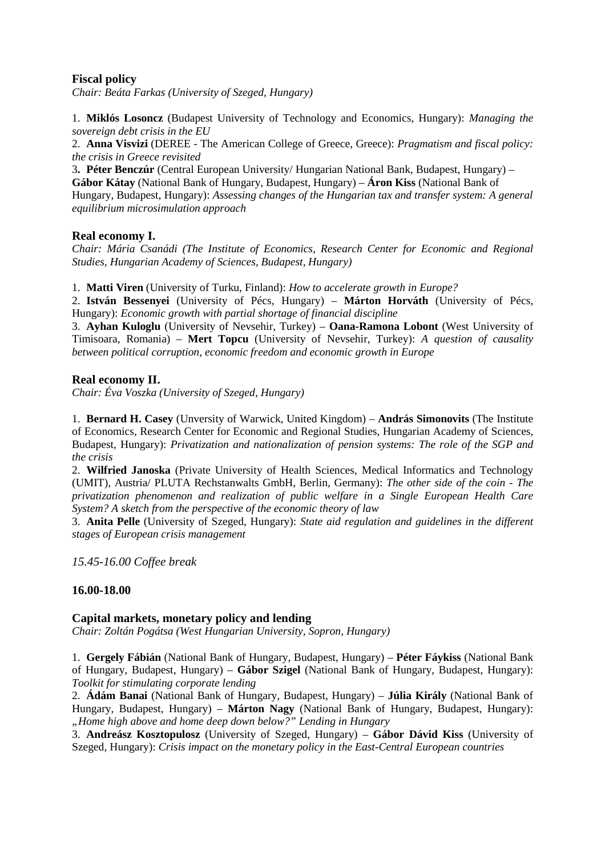### **Fiscal policy**

*Chair: Beáta Farkas (University of Szeged, Hungary)*

1. **Miklós Losoncz** (Budapest University of Technology and Economics, Hungary): *Managing the sovereign debt crisis in the EU* 

2. **Anna Visvizi** (DEREE - The American College of Greece, Greece): *Pragmatism and fiscal policy: the crisis in Greece revisited* 

3**. Péter Benczúr** (Central European University/ Hungarian National Bank, Budapest, Hungary) – **Gábor Kátay** (National Bank of Hungary, Budapest, Hungary) – **Áron Kiss** (National Bank of Hungary, Budapest, Hungary): *Assessing changes of the Hungarian tax and transfer system: A general equilibrium microsimulation approach*

#### **Real economy I.**

*Chair: Mária Csanádi (The Institute of Economics, Research Center for Economic and Regional Studies, Hungarian Academy of Sciences, Budapest, Hungary)* 

1. **Matti Viren** (University of Turku, Finland): *How to accelerate growth in Europe?*

2. **István Bessenyei** (University of Pécs, Hungary) – **Márton Horváth** (University of Pécs, Hungary): *Economic growth with partial shortage of financial discipline*

3. **Ayhan Kuloglu** (University of Nevsehir, Turkey) – **Oana-Ramona Lobont** (West University of Timisoara, Romania) – **Mert Topcu** (University of Nevsehir, Turkey): *A question of causality between political corruption, economic freedom and economic growth in Europe*

#### **Real economy II.**

*Chair: Éva Voszka (University of Szeged, Hungary)* 

1. **Bernard H. Casey** (Unversity of Warwick, United Kingdom) – **András Simonovits** (The Institute of Economics, Research Center for Economic and Regional Studies, Hungarian Academy of Sciences, Budapest, Hungary): *Privatization and nationalization of pension systems: The role of the SGP and the crisis*

2. **Wilfried Janoska** (Private University of Health Sciences, Medical Informatics and Technology (UMIT), Austria/ PLUTA Rechstanwalts GmbH, Berlin, Germany): *The other side of the coin - The privatization phenomenon and realization of public welfare in a Single European Health Care System? A sketch from the perspective of the economic theory of law* 

3. **Anita Pelle** (University of Szeged, Hungary): *State aid regulation and guidelines in the different stages of European crisis management* 

*15.45-16.00 Coffee break* 

### **16.00-18.00**

#### **Capital markets, monetary policy and lending**

*Chair: Zoltán Pogátsa (West Hungarian University, Sopron, Hungary)* 

1. **Gergely Fábián** (National Bank of Hungary, Budapest, Hungary) – **Péter Fáykiss** (National Bank of Hungary, Budapest, Hungary) – **Gábor Szigel** (National Bank of Hungary, Budapest, Hungary): *Toolkit for stimulating corporate lending*

2. **Ádám Banai** (National Bank of Hungary, Budapest, Hungary) – **Júlia Király** (National Bank of Hungary, Budapest, Hungary) – **Márton Nagy** (National Bank of Hungary, Budapest, Hungary): *"Home high above and home deep down below?" Lending in Hungary* 

3. **Andreász Kosztopulosz** (University of Szeged, Hungary) – **Gábor Dávid Kiss** (University of Szeged, Hungary): *Crisis impact on the monetary policy in the East-Central European countries*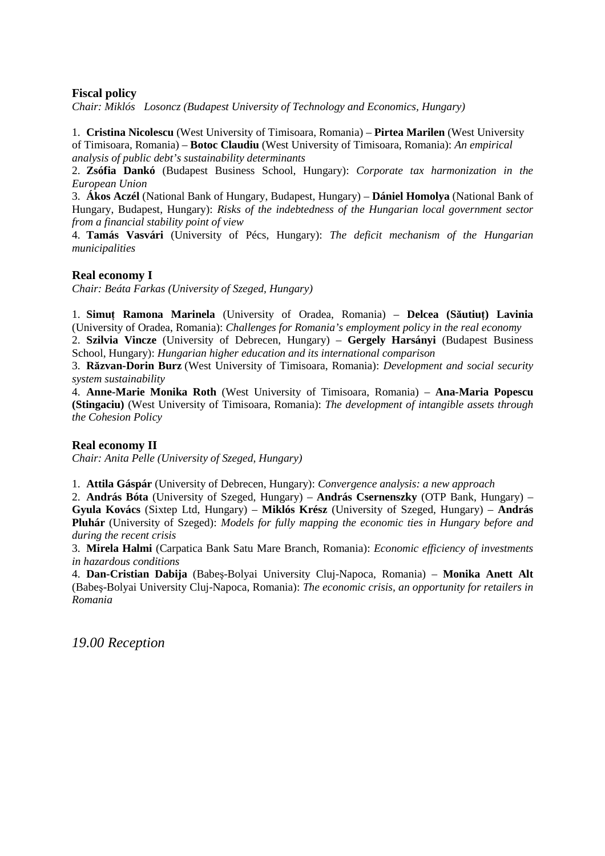### **Fiscal policy**

*Chair: Miklós Losoncz (Budapest University of Technology and Economics, Hungary)* 

1. **Cristina Nicolescu** (West University of Timisoara, Romania) – **Pirtea Marilen** (West University of Timisoara, Romania) – **Botoc Claudiu** (West University of Timisoara, Romania): *An empirical analysis of public debt's sustainability determinants*

2. **Zsófia Dankó** (Budapest Business School, Hungary): *Corporate tax harmonization in the European Union* 

3. **Ákos Aczél** (National Bank of Hungary, Budapest, Hungary) – **Dániel Homolya** (National Bank of Hungary, Budapest, Hungary): *Risks of the indebtedness of the Hungarian local government sector from a financial stability point of view*

4. **Tamás Vasvári** (University of Pécs, Hungary): *The deficit mechanism of the Hungarian municipalities* 

### **Real economy I**

*Chair: Beáta Farkas (University of Szeged, Hungary)*

1. **Simuţ Ramona Marinela** (University of Oradea, Romania) – **Delcea (Săutiuţ) Lavinia** (University of Oradea, Romania): *Challenges for Romania's employment policy in the real economy*

2. **Szilvia Vincze** (University of Debrecen, Hungary) – **Gergely Harsányi** (Budapest Business School, Hungary): *Hungarian higher education and its international comparison*

3. **Răzvan-Dorin Burz** (West University of Timisoara, Romania): *Development and social security system sustainability* 

4. **Anne-Marie Monika Roth** (West University of Timisoara, Romania) – **Ana-Maria Popescu (Stingaciu)** (West University of Timisoara, Romania): *The development of intangible assets through the Cohesion Policy* 

#### **Real economy II**

*Chair: Anita Pelle (University of Szeged, Hungary)*

1. **Attila Gáspár** (University of Debrecen, Hungary): *Convergence analysis: a new approach*

2. **András Bóta** (University of Szeged, Hungary) – **András Csernenszky** (OTP Bank, Hungary) – **Gyula Kovács** (Sixtep Ltd, Hungary) – **Miklós Krész** (University of Szeged, Hungary) – **András Pluhár** (University of Szeged): *Models for fully mapping the economic ties in Hungary before and during the recent crisis*

3. **Mirela Halmi** (Carpatica Bank Satu Mare Branch, Romania): *Economic efficiency of investments in hazardous conditions* 

4. **Dan-Cristian Dabija** (Babeş-Bolyai University Cluj-Napoca, Romania) – **Monika Anett Alt** (Babeş-Bolyai University Cluj-Napoca, Romania): *The economic crisis, an opportunity for retailers in Romania*

*19.00 Reception*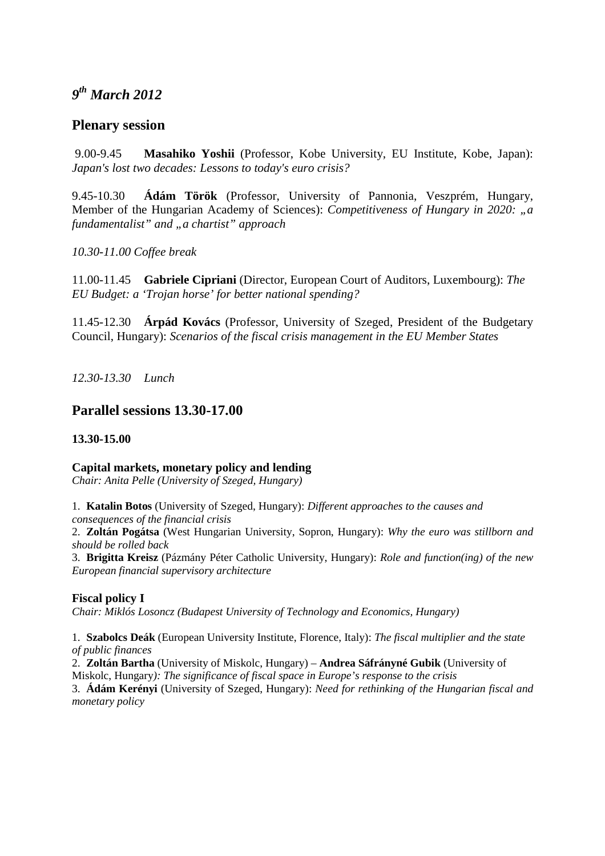# *9 th March 2012*

# **Plenary session**

 9.00-9.45 **Masahiko Yoshii** (Professor, Kobe University, EU Institute, Kobe, Japan): *Japan's lost two decades: Lessons to today's euro crisis?* 

9.45-10.30 **Ádám Török** (Professor, University of Pannonia, Veszprém, Hungary, Member of the Hungarian Academy of Sciences): *Competitiveness of Hungary in 2020: "a fundamentalist" and "a chartist" approach* 

*10.30-11.00 Coffee break* 

11.00-11.45 **Gabriele Cipriani** (Director, European Court of Auditors, Luxembourg): *The EU Budget: a 'Trojan horse' for better national spending?* 

11.45-12.30 **Árpád Kovács** (Professor, University of Szeged, President of the Budgetary Council, Hungary): *Scenarios of the fiscal crisis management in the EU Member States* 

*12.30-13.30 Lunch* 

# **Parallel sessions 13.30-17.00**

### **13.30-15.00**

### **Capital markets, monetary policy and lending**

*Chair: Anita Pelle (University of Szeged, Hungary)*

1. **Katalin Botos** (University of Szeged, Hungary): *Different approaches to the causes and consequences of the financial crisis* 

2. **Zoltán Pogátsa** (West Hungarian University, Sopron, Hungary): *Why the euro was stillborn and should be rolled back* 

3. **Brigitta Kreisz** (Pázmány Péter Catholic University, Hungary): *Role and function(ing) of the new European financial supervisory architecture* 

### **Fiscal policy I**

*Chair: Miklós Losoncz (Budapest University of Technology and Economics, Hungary)* 

1. **Szabolcs Deák** (European University Institute, Florence, Italy): *The fiscal multiplier and the state of public finances* 

2. **Zoltán Bartha** (University of Miskolc, Hungary) – **Andrea Sáfrányné Gubik** (University of Miskolc, Hungary*): The significance of fiscal space in Europe's response to the crisis*

3. **Ádám Kerényi** (University of Szeged, Hungary): *Need for rethinking of the Hungarian fiscal and monetary policy*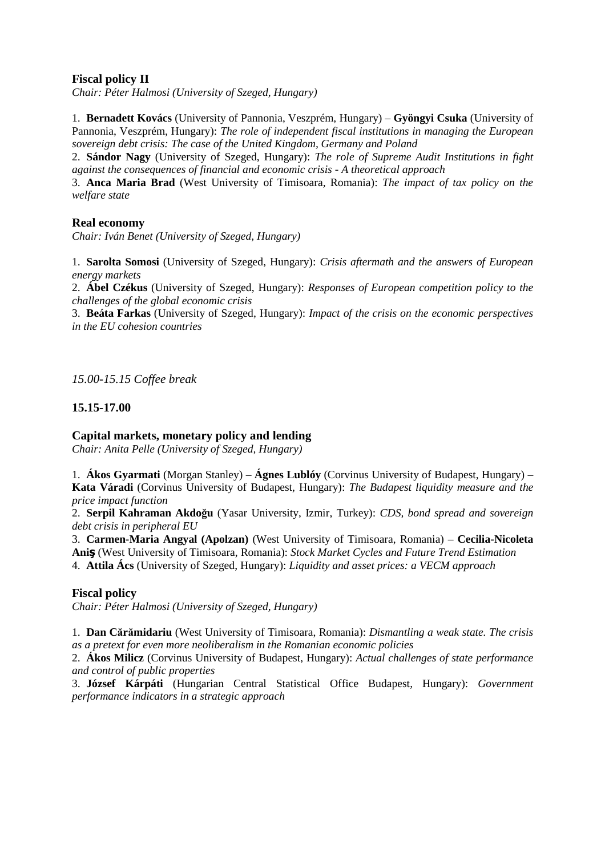### **Fiscal policy II**

*Chair: Péter Halmosi (University of Szeged, Hungary)* 

1. **Bernadett Kovács** (University of Pannonia, Veszprém, Hungary) – **Gyöngyi Csuka** (University of Pannonia, Veszprém, Hungary): *The role of independent fiscal institutions in managing the European sovereign debt crisis: The case of the United Kingdom, Germany and Poland* 

2. **Sándor Nagy** (University of Szeged, Hungary): *The role of Supreme Audit Institutions in fight against the consequences of financial and economic crisis - A theoretical approach*

3. **Anca Maria Brad** (West University of Timisoara, Romania): *The impact of tax policy on the welfare state* 

### **Real economy**

*Chair: Iván Benet (University of Szeged, Hungary)* 

1. **Sarolta Somosi** (University of Szeged, Hungary): *Crisis aftermath and the answers of European energy markets*

2. **Ábel Czékus** (University of Szeged, Hungary): *Responses of European competition policy to the challenges of the global economic crisis*

3. **Beáta Farkas** (University of Szeged, Hungary): *Impact of the crisis on the economic perspectives in the EU cohesion countries* 

*15.00-15.15 Coffee break* 

### **15.15-17.00**

### **Capital markets, monetary policy and lending**

*Chair: Anita Pelle (University of Szeged, Hungary)*

1. **Ákos Gyarmati** (Morgan Stanley) – **Ágnes Lublóy** (Corvinus University of Budapest, Hungary) – **Kata Váradi** (Corvinus University of Budapest, Hungary): *The Budapest liquidity measure and the price impact function* 

2. **Serpil Kahraman Akdoğu** (Yasar University, Izmir, Turkey): *CDS, bond spread and sovereign debt crisis in peripheral EU* 

3. **Carmen-Maria Angyal (Apolzan)** (West University of Timisoara, Romania) – **Cecilia-Nicoleta Aniş** (West University of Timisoara, Romania): *Stock Market Cycles and Future Trend Estimation* 4. **Attila Ács** (University of Szeged, Hungary): *Liquidity and asset prices: a VECM approach* 

#### **Fiscal policy**

*Chair: Péter Halmosi (University of Szeged, Hungary)* 

1. **Dan Cărămidariu** (West University of Timisoara, Romania): *Dismantling a weak state. The crisis as a pretext for even more neoliberalism in the Romanian economic policies*

2. **Ákos Milicz** (Corvinus University of Budapest, Hungary): *Actual challenges of state performance and control of public properties* 

3. **József Kárpáti** (Hungarian Central Statistical Office Budapest, Hungary): *Government performance indicators in a strategic approach*